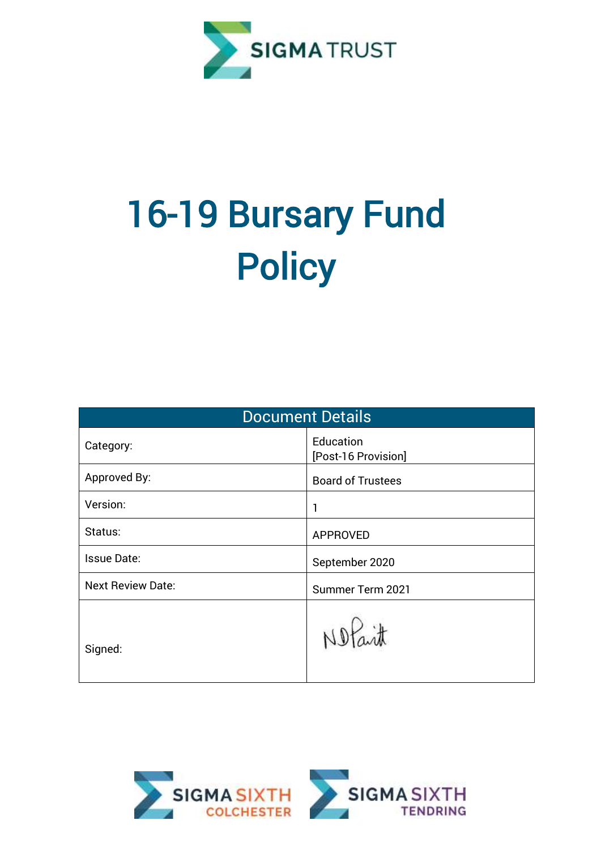

# 16-19 Bursary Fund **Policy**

| <b>Document Details</b>  |                                  |  |  |  |
|--------------------------|----------------------------------|--|--|--|
| Category:                | Education<br>[Post-16 Provision] |  |  |  |
| Approved By:             | <b>Board of Trustees</b>         |  |  |  |
| Version:                 | 1                                |  |  |  |
| Status:                  | <b>APPROVED</b>                  |  |  |  |
| <b>Issue Date:</b>       | September 2020                   |  |  |  |
| <b>Next Review Date:</b> | Summer Term 2021                 |  |  |  |
| Signed:                  |                                  |  |  |  |

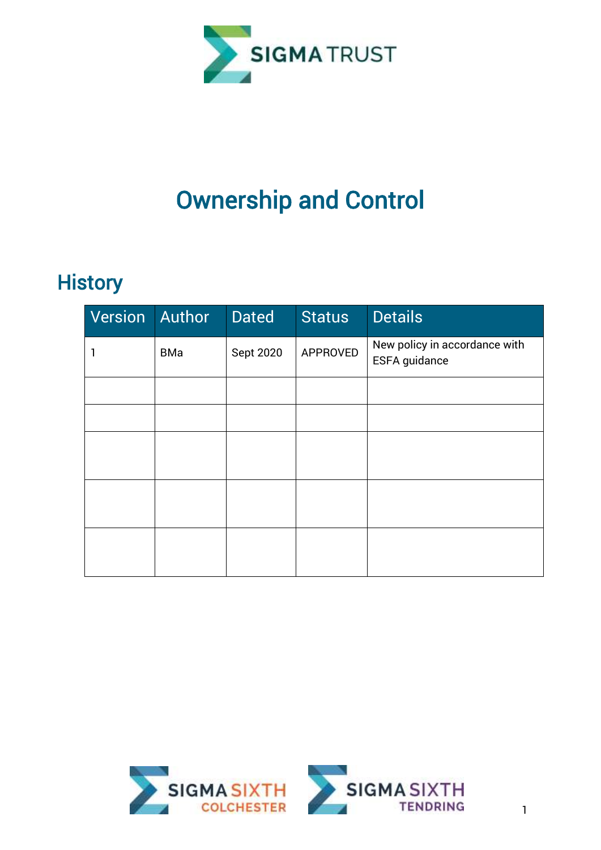

## Ownership and Control

### **History**

| Version | Author     | <b>Dated</b> | <b>Status</b> | <b>Details</b>                                 |
|---------|------------|--------------|---------------|------------------------------------------------|
| 1       | <b>BMa</b> | Sept 2020    | APPROVED      | New policy in accordance with<br>ESFA guidance |
|         |            |              |               |                                                |
|         |            |              |               |                                                |
|         |            |              |               |                                                |
|         |            |              |               |                                                |
|         |            |              |               |                                                |

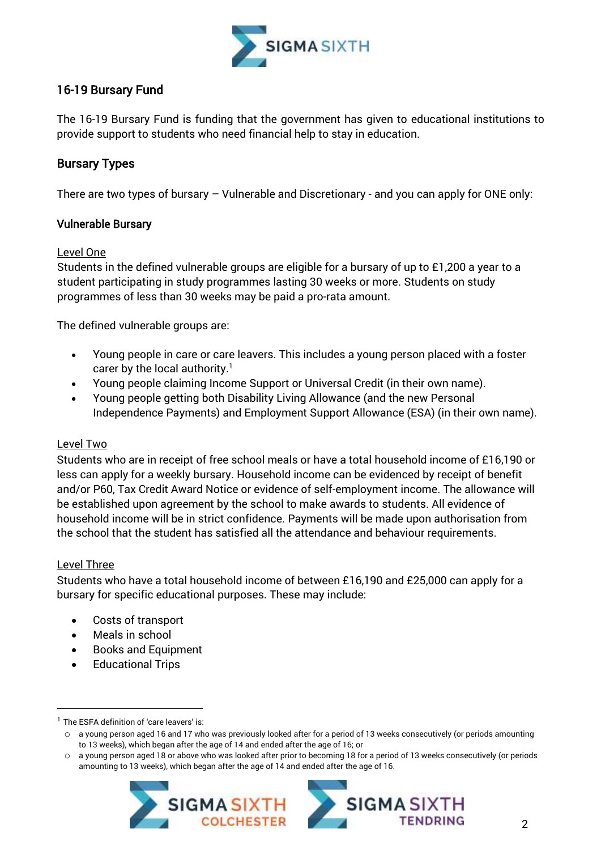

#### 16-19 Bursary Fund

The 16-19 Bursary Fund is funding that the government has given to educational institutions to provide support to students who need financial help to stay in education.

#### Bursary Types

There are two types of bursary – Vulnerable and Discretionary - and you can apply for ONE only:

#### Vulnerable Bursary

#### Level One

Students in the defined vulnerable groups are eligible for a bursary of up to £1,200 a year to a student participating in study programmes lasting 30 weeks or more. Students on study programmes of less than 30 weeks may be paid a pro-rata amount.

The defined vulnerable groups are:

- Young people in care or care leavers. This includes a young person placed with a foster carer by the local authority.<sup>1</sup>
- Young people claiming Income Support or Universal Credit (in their own name).
- Young people getting both Disability Living Allowance (and the new Personal Independence Payments) and Employment Support Allowance (ESA) (in their own name).

#### Level Two

Students who are in receipt of free school meals or have a total household income of £16,190 or less can apply for a weekly bursary. Household income can be evidenced by receipt of benefit and/or P60, Tax Credit Award Notice or evidence of self-employment income. The allowance will be established upon agreement by the school to make awards to students. All evidence of household income will be in strict confidence. Payments will be made upon authorisation from the school that the student has satisfied all the attendance and behaviour requirements.

#### Level Three

1

Students who have a total household income of between £16,190 and £25,000 can apply for a bursary for specific educational purposes. These may include:

- Costs of transport
- Meals in school
- Books and Equipment
- Educational Trips

o a young person aged 18 or above who was looked after prior to becoming 18 for a period of 13 weeks consecutively (or periods amounting to 13 weeks), which began after the age of 14 and ended after the age of 16.





 $<sup>1</sup>$  The ESFA definition of 'care leavers' is:</sup>

 $\circ$  a young person aged 16 and 17 who was previously looked after for a period of 13 weeks consecutively (or periods amounting to 13 weeks), which began after the age of 14 and ended after the age of 16; or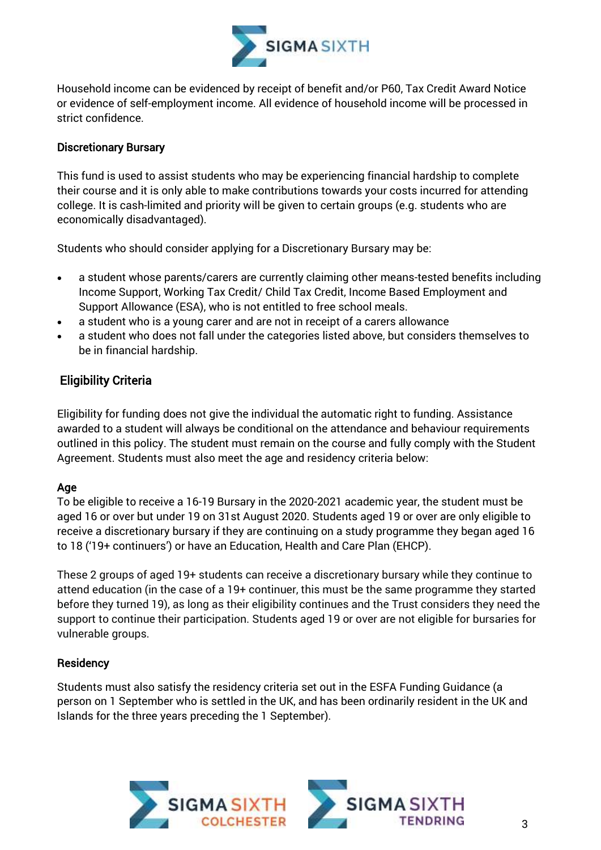

Household income can be evidenced by receipt of benefit and/or P60, Tax Credit Award Notice or evidence of self-employment income. All evidence of household income will be processed in strict confidence.

#### Discretionary Bursary

This fund is used to assist students who may be experiencing financial hardship to complete their course and it is only able to make contributions towards your costs incurred for attending college. It is cash-limited and priority will be given to certain groups (e.g. students who are economically disadvantaged).

Students who should consider applying for a Discretionary Bursary may be:

- a student whose parents/carers are currently claiming other means-tested benefits including Income Support, Working Tax Credit/ Child Tax Credit, Income Based Employment and Support Allowance (ESA), who is not entitled to free school meals.
- a student who is a young carer and are not in receipt of a carers allowance
- a student who does not fall under the categories listed above, but considers themselves to be in financial hardship.

#### Eligibility Criteria

Eligibility for funding does not give the individual the automatic right to funding. Assistance awarded to a student will always be conditional on the attendance and behaviour requirements outlined in this policy. The student must remain on the course and fully comply with the Student Agreement. Students must also meet the age and residency criteria below:

#### Age

To be eligible to receive a 16-19 Bursary in the 2020-2021 academic year, the student must be aged 16 or over but under 19 on 31st August 2020. Students aged 19 or over are only eligible to receive a discretionary bursary if they are continuing on a study programme they began aged 16 to 18 ('19+ continuers') or have an Education, Health and Care Plan (EHCP).

These 2 groups of aged 19+ students can receive a discretionary bursary while they continue to attend education (in the case of a 19+ continuer, this must be the same programme they started before they turned 19), as long as their eligibility continues and the Trust considers they need the support to continue their participation. Students aged 19 or over are not eligible for bursaries for vulnerable groups.

#### **Residency**

Students must also satisfy the residency criteria set out in the ESFA Funding Guidance (a person on 1 September who is settled in the UK, and has been ordinarily resident in the UK and Islands for the three years preceding the 1 September).

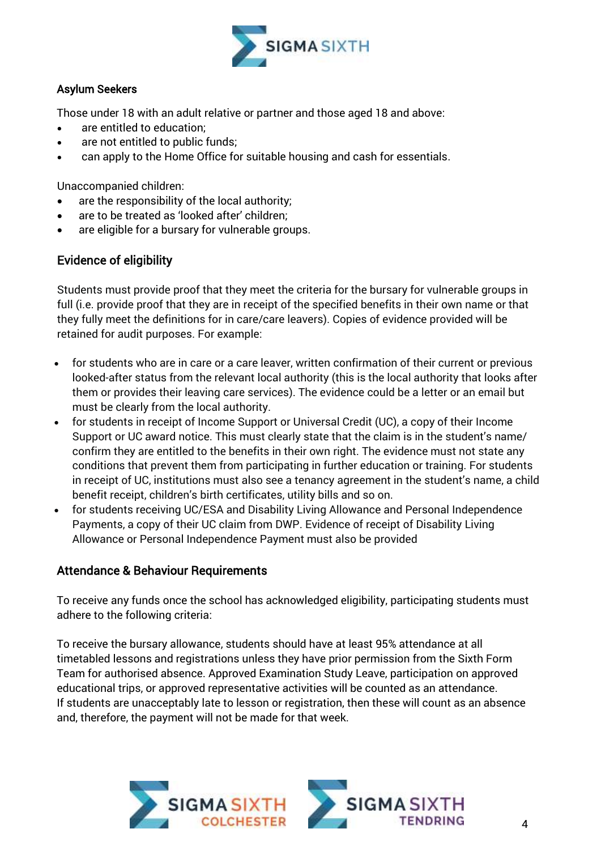

#### Asylum Seekers

Those under 18 with an adult relative or partner and those aged 18 and above:

- are entitled to education;
- are not entitled to public funds;
- can apply to the Home Office for suitable housing and cash for essentials.

Unaccompanied children:

- are the responsibility of the local authority;
- are to be treated as 'looked after' children;
- are eligible for a bursary for vulnerable groups.

#### Evidence of eligibility

Students must provide proof that they meet the criteria for the bursary for vulnerable groups in full (i.e. provide proof that they are in receipt of the specified benefits in their own name or that they fully meet the definitions for in care/care leavers). Copies of evidence provided will be retained for audit purposes. For example:

- for students who are in care or a care leaver, written confirmation of their current or previous looked-after status from the relevant local authority (this is the local authority that looks after them or provides their leaving care services). The evidence could be a letter or an email but must be clearly from the local authority.
- for students in receipt of Income Support or Universal Credit (UC), a copy of their Income Support or UC award notice. This must clearly state that the claim is in the student's name/ confirm they are entitled to the benefits in their own right. The evidence must not state any conditions that prevent them from participating in further education or training. For students in receipt of UC, institutions must also see a tenancy agreement in the student's name, a child benefit receipt, children's birth certificates, utility bills and so on.
- for students receiving UC/ESA and Disability Living Allowance and Personal Independence Payments, a copy of their UC claim from DWP. Evidence of receipt of Disability Living Allowance or Personal Independence Payment must also be provided

#### Attendance & Behaviour Requirements

To receive any funds once the school has acknowledged eligibility, participating students must adhere to the following criteria:

To receive the bursary allowance, students should have at least 95% attendance at all timetabled lessons and registrations unless they have prior permission from the Sixth Form Team for authorised absence. Approved Examination Study Leave, participation on approved educational trips, or approved representative activities will be counted as an attendance. If students are unacceptably late to lesson or registration, then these will count as an absence and, therefore, the payment will not be made for that week.

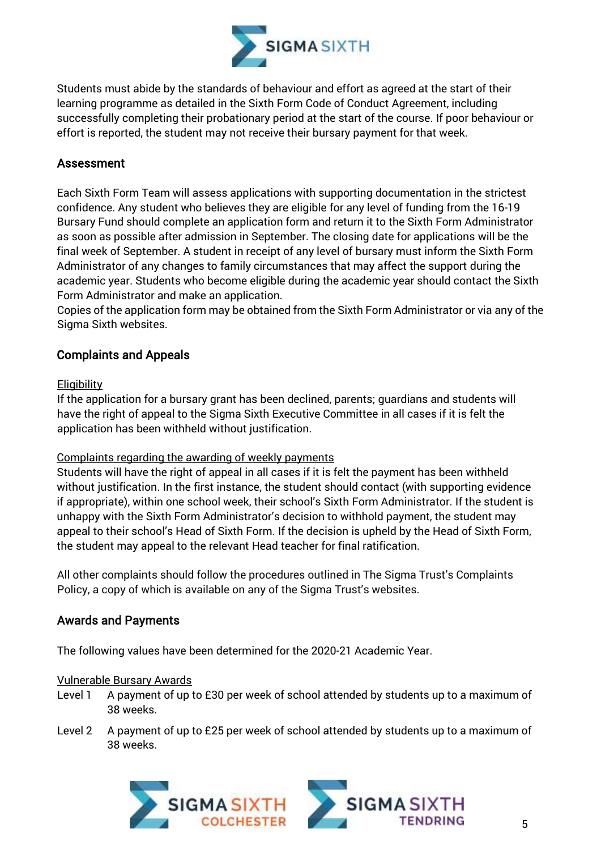

Students must abide by the standards of behaviour and effort as agreed at the start of their learning programme as detailed in the Sixth Form Code of Conduct Agreement, including successfully completing their probationary period at the start of the course. If poor behaviour or effort is reported, the student may not receive their bursary payment for that week.

#### Assessment

Each Sixth Form Team will assess applications with supporting documentation in the strictest confidence. Any student who believes they are eligible for any level of funding from the 16-19 Bursary Fund should complete an application form and return it to the Sixth Form Administrator as soon as possible after admission in September. The closing date for applications will be the final week of September. A student in receipt of any level of bursary must inform the Sixth Form Administrator of any changes to family circumstances that may affect the support during the academic year. Students who become eligible during the academic year should contact the Sixth Form Administrator and make an application.

Copies of the application form may be obtained from the Sixth Form Administrator or via any of the Sigma Sixth websites.

#### Complaints and Appeals

#### **Eligibility**

If the application for a bursary grant has been declined, parents; guardians and students will have the right of appeal to the Sigma Sixth Executive Committee in all cases if it is felt the application has been withheld without justification.

#### Complaints regarding the awarding of weekly payments

Students will have the right of appeal in all cases if it is felt the payment has been withheld without justification. In the first instance, the student should contact (with supporting evidence if appropriate), within one school week, their school's Sixth Form Administrator. If the student is unhappy with the Sixth Form Administrator's decision to withhold payment, the student may appeal to their school's Head of Sixth Form. If the decision is upheld by the Head of Sixth Form, the student may appeal to the relevant Head teacher for final ratification.

All other complaints should follow the procedures outlined in The Sigma Trust's Complaints Policy, a copy of which is available on any of the Sigma Trust's websites.

#### Awards and Payments

The following values have been determined for the 2020-21 Academic Year.

#### Vulnerable Bursary Awards

- Level 1 A payment of up to £30 per week of school attended by students up to a maximum of 38 weeks.
- Level 2 A payment of up to £25 per week of school attended by students up to a maximum of 38 weeks.